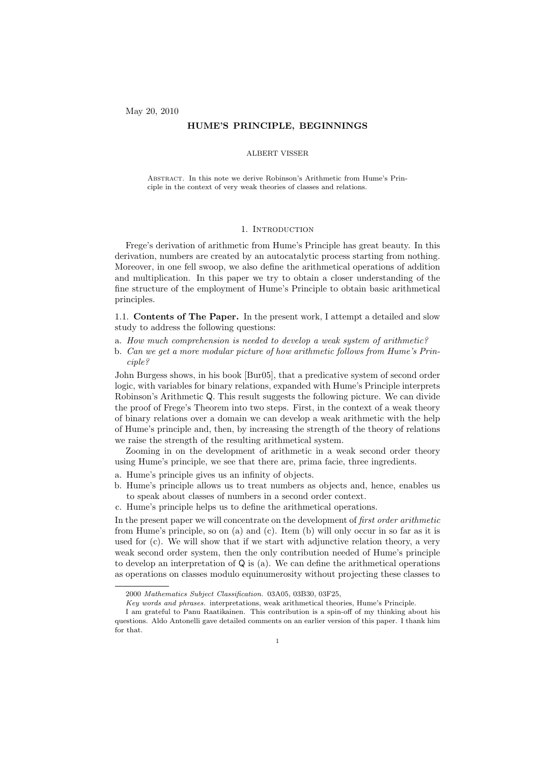May 20, 2010

# HUME'S PRINCIPLE, BEGINNINGS

## ALBERT VISSER

Abstract. In this note we derive Robinson's Arithmetic from Hume's Principle in the context of very weak theories of classes and relations.

### 1. INTRODUCTION

Frege's derivation of arithmetic from Hume's Principle has great beauty. In this derivation, numbers are created by an autocatalytic process starting from nothing. Moreover, in one fell swoop, we also define the arithmetical operations of addition and multiplication. In this paper we try to obtain a closer understanding of the fine structure of the employment of Hume's Principle to obtain basic arithmetical principles.

1.1. Contents of The Paper. In the present work, I attempt a detailed and slow study to address the following questions:

- a. How much comprehension is needed to develop a weak system of arithmetic?
- b. Can we get a more modular picture of how arithmetic follows from Hume's Principle?

John Burgess shows, in his book [Bur05], that a predicative system of second order logic, with variables for binary relations, expanded with Hume's Principle interprets Robinson's Arithmetic Q. This result suggests the following picture. We can divide the proof of Frege's Theorem into two steps. First, in the context of a weak theory of binary relations over a domain we can develop a weak arithmetic with the help of Hume's principle and, then, by increasing the strength of the theory of relations we raise the strength of the resulting arithmetical system.

Zooming in on the development of arithmetic in a weak second order theory using Hume's principle, we see that there are, prima facie, three ingredients.

- a. Hume's principle gives us an infinity of objects.
- b. Hume's principle allows us to treat numbers as objects and, hence, enables us to speak about classes of numbers in a second order context.
- c. Hume's principle helps us to define the arithmetical operations.

In the present paper we will concentrate on the development of first order arithmetic from Hume's principle, so on (a) and (c). Item (b) will only occur in so far as it is used for (c). We will show that if we start with adjunctive relation theory, a very weak second order system, then the only contribution needed of Hume's principle to develop an interpretation of Q is (a). We can define the arithmetical operations as operations on classes modulo equinumerosity without projecting these classes to

<sup>2000</sup> Mathematics Subject Classification. 03A05, 03B30, 03F25,

Key words and phrases. interpretations, weak arithmetical theories, Hume's Principle.

I am grateful to Panu Raatikainen. This contribution is a spin-off of my thinking about his questions. Aldo Antonelli gave detailed comments on an earlier version of this paper. I thank him for that.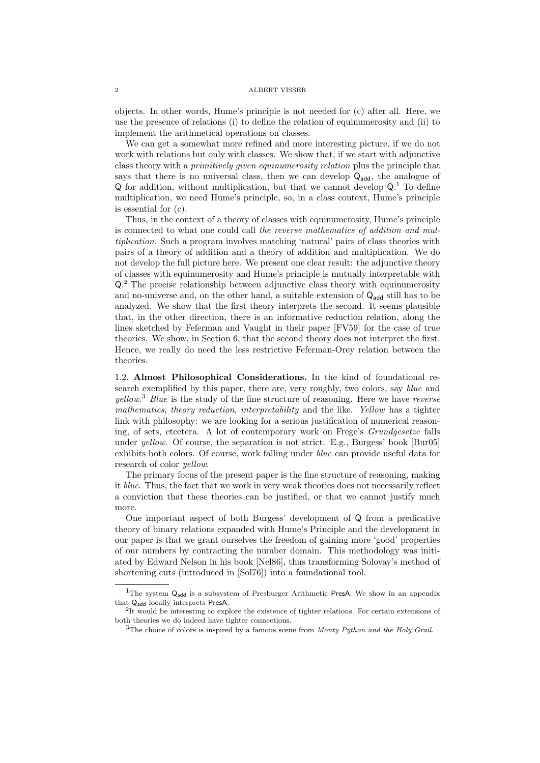objects. In other words, Hume's principle is not needed for (c) after all. Here, we use the presence of relations (i) to define the relation of equinumerosity and (ii) to implement the arithmetical operations on classes.

We can get a somewhat more refined and more interesting picture, if we do not work with relations but only with classes. We show that, if we start with adjunctive class theory with a primitively given equinumerosity relation plus the principle that says that there is no universal class, then we can develop  $Q_{add}$ , the analogue of  $Q$  for addition, without multiplication, but that we cannot develop  $Q$ <sup>1</sup>. To define multiplication, we need Hume's principle, so, in a class context, Hume's principle is essential for (c).

Thus, in the context of a theory of classes with equinumerosity, Hume's principle is connected to what one could call the reverse mathematics of addition and multiplication. Such a program involves matching 'natural' pairs of class theories with pairs of a theory of addition and a theory of addition and multiplication. We do not develop the full picture here. We present one clear result: the adjunctive theory of classes with equinumerosity and Hume's principle is mutually interpretable with Q. <sup>2</sup> The precise relationship between adjunctive class theory with equinumerosity and no-universe and, on the other hand, a suitable extension of  $Q_{add}$  still has to be analyzed. We show that the first theory interprets the second. It seems plausible that, in the other direction, there is an informative reduction relation, along the lines sketched by Feferman and Vaught in their paper [FV59] for the case of true theories. We show, in Section 6, that the second theory does not interpret the first. Hence, we really do need the less restrictive Feferman-Orey relation between the theories.

1.2. Almost Philosophical Considerations. In the kind of foundational research exemplified by this paper, there are, very roughly, two colors, say *blue* and  $yellow<sup>3</sup>$  Blue is the study of the fine structure of reasoning. Here we have reverse mathematics, theory reduction, interpretability and the like. Yellow has a tighter link with philosophy: we are looking for a serious justification of numerical reasoning, of sets, etcetera. A lot of contemporary work on Frege's Grundgesetze falls under *yellow*. Of course, the separation is not strict. E.g., Burgess' book [Bur05] exhibits both colors. Of course, work falling under blue can provide useful data for research of color *yellow*.

The primary focus of the present paper is the fine structure of reasoning, making it blue. Thus, the fact that we work in very weak theories does not necessarily reflect a conviction that these theories can be justified, or that we cannot justify much more.

One important aspect of both Burgess' development of Q from a predicative theory of binary relations expanded with Hume's Principle and the development in our paper is that we grant ourselves the freedom of gaining more 'good' properties of our numbers by contracting the number domain. This methodology was initiated by Edward Nelson in his book [Nel86], thus transforming Solovay's method of shortening cuts (introduced in [Sol76]) into a foundational tool.

<sup>&</sup>lt;sup>1</sup>The system  $Q_{add}$  is a subsystem of Presburger Arithmetic PresA. We show in an appendix that Qadd locally interprets PresA.

<sup>&</sup>lt;sup>2</sup>It would be interesting to explore the existence of tighter relations. For certain extensions of both theories we do indeed have tighter connections.

 $3$ The choice of colors is inspired by a famous scene from Monty Python and the Holy Grail.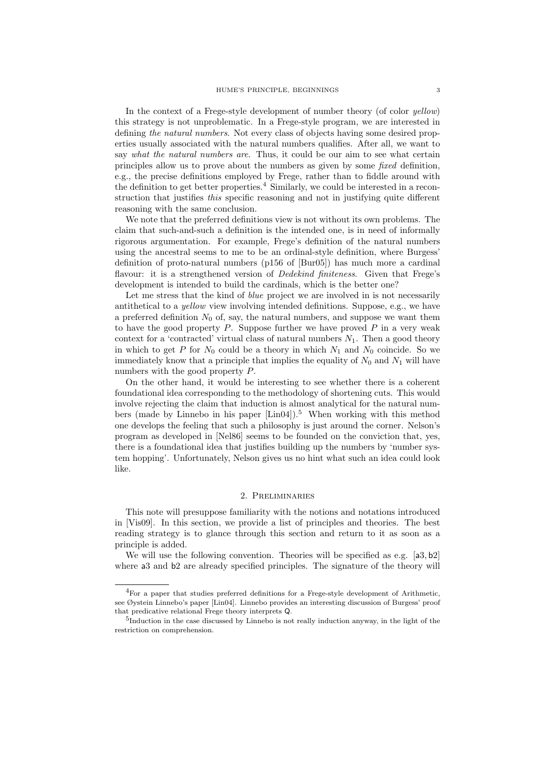In the context of a Frege-style development of number theory (of color yellow) this strategy is not unproblematic. In a Frege-style program, we are interested in defining the natural numbers. Not every class of objects having some desired properties usually associated with the natural numbers qualifies. After all, we want to say what the natural numbers are. Thus, it could be our aim to see what certain principles allow us to prove about the numbers as given by some fixed definition, e.g., the precise definitions employed by Frege, rather than to fiddle around with the definition to get better properties.<sup>4</sup> Similarly, we could be interested in a reconstruction that justifies *this* specific reasoning and not in justifying quite different reasoning with the same conclusion.

We note that the preferred definitions view is not without its own problems. The claim that such-and-such a definition is the intended one, is in need of informally rigorous argumentation. For example, Frege's definition of the natural numbers using the ancestral seems to me to be an ordinal-style definition, where Burgess' definition of proto-natural numbers (p156 of [Bur05]) has much more a cardinal flavour: it is a strengthened version of *Dedekind finiteness*. Given that Frege's development is intended to build the cardinals, which is the better one?

Let me stress that the kind of *blue* project we are involved in is not necessarily antithetical to a yellow view involving intended definitions. Suppose, e.g., we have a preferred definition  $N_0$  of, say, the natural numbers, and suppose we want them to have the good property  $P$ . Suppose further we have proved  $P$  in a very weak context for a 'contracted' virtual class of natural numbers  $N_1$ . Then a good theory in which to get P for  $N_0$  could be a theory in which  $N_1$  and  $N_0$  coincide. So we immediately know that a principle that implies the equality of  $N_0$  and  $N_1$  will have numbers with the good property P.

On the other hand, it would be interesting to see whether there is a coherent foundational idea corresponding to the methodology of shortening cuts. This would involve rejecting the claim that induction is almost analytical for the natural numbers (made by Linnebo in his paper  $[Lin04]$ ).<sup>5</sup> When working with this method one develops the feeling that such a philosophy is just around the corner. Nelson's program as developed in [Nel86] seems to be founded on the conviction that, yes, there is a foundational idea that justifies building up the numbers by 'number system hopping'. Unfortunately, Nelson gives us no hint what such an idea could look like.

#### 2. Preliminaries

This note will presuppose familiarity with the notions and notations introduced in [Vis09]. In this section, we provide a list of principles and theories. The best reading strategy is to glance through this section and return to it as soon as a principle is added.

We will use the following convention. Theories will be specified as e.g.  $[a3, b2]$ where a 3 and b2 are already specified principles. The signature of the theory will

<sup>4</sup>For a paper that studies preferred definitions for a Frege-style development of Arithmetic, see Øystein Linnebo's paper [Lin04]. Linnebo provides an interesting discussion of Burgess' proof that predicative relational Frege theory interprets Q.

<sup>&</sup>lt;sup>5</sup>Induction in the case discussed by Linnebo is not really induction anyway, in the light of the restriction on comprehension.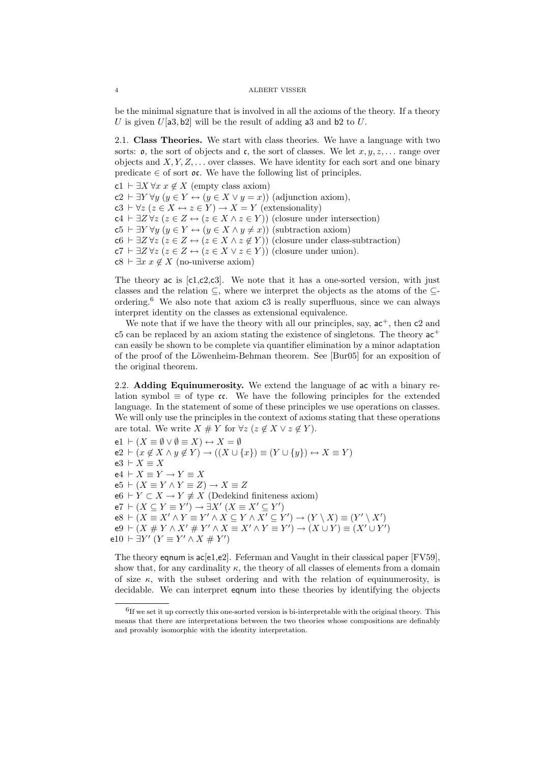be the minimal signature that is involved in all the axioms of the theory. If a theory U is given  $U$ [a3, b2] will be the result of adding a3 and b2 to U.

2.1. Class Theories. We start with class theories. We have a language with two sorts:  $\mathfrak{o}$ , the sort of objects and  $\mathfrak{c}$ , the sort of classes. We let  $x, y, z, \ldots$  range over objects and  $X, Y, Z, \ldots$  over classes. We have identity for each sort and one binary predicate  $\in$  of sort  $\frak{oc}$ . We have the following list of principles.

c1  $\vdash \exists X \forall x \ x \notin X$  (empty class axiom)  $c2 \vdash \exists Y \forall y \ (y \in Y \leftrightarrow (y \in X \lor y = x))$  (adjunction axiom),  $c3 \vdash \forall z (z \in X \leftrightarrow z \in Y) \rightarrow X = Y$  (extensionality) c4  $\vdash \exists Z \forall z (z \in Z \leftrightarrow (z \in X \land z \in Y))$  (closure under intersection)  $c5 \vdash \exists Y \forall y (y \in Y \leftrightarrow (y \in X \land y \neq x))$  (subtraction axiom) c6  $\vdash \exists Z \forall z (z \in Z \leftrightarrow (z \in X \land z \notin Y))$  (closure under class-subtraction)  $c7 \vdash \exists Z \forall z (z \in Z \leftrightarrow (z \in X \vee z \in Y))$  (closure under union).  $c8 \vdash \exists x \ x \notin X \text{ (no-universe axiom)}$ 

The theory ac is [c1,c2,c3]. We note that it has a one-sorted version, with just classes and the relation  $\subseteq$ , where we interpret the objects as the atoms of the  $\subseteq$ ordering.<sup>6</sup> We also note that axiom  $c3$  is really superfluous, since we can always interpret identity on the classes as extensional equivalence.

We note that if we have the theory with all our principles, say,  $ac^+$ , then  $c^2$  and c5 can be replaced by an axiom stating the existence of singletons. The theory  $ac^+$ can easily be shown to be complete via quantifier elimination by a minor adaptation of the proof of the L¨owenheim-Behman theorem. See [Bur05] for an exposition of the original theorem.

2.2. Adding Equinumerosity. We extend the language of ac with a binary relation symbol  $\equiv$  of type cc. We have the following principles for the extended language. In the statement of some of these principles we use operations on classes. We will only use the principles in the context of axioms stating that these operations are total. We write  $X \# Y$  for  $\forall z (z \notin X \lor z \notin Y)$ .

 $e1 \vdash (X \equiv \emptyset \lor \emptyset \equiv X) \leftrightarrow X = \emptyset$  $e2 \vdash (x \notin X \land y \notin Y) \rightarrow ((X \cup \{x\}) \equiv (Y \cup \{y\}) \leftrightarrow X \equiv Y)$  $e3 \vdash X \equiv X$  $e4 \vdash X \equiv Y \rightarrow Y \equiv X$  $e5 \vdash (X \equiv Y \land Y \equiv Z) \rightarrow X \equiv Z$  $e6 \vdash Y \subset X \to Y \not\equiv X$  (Dedekind finiteness axiom)  $e7 \vdash (X \subseteq Y \equiv Y') \rightarrow \exists X' \ (X \equiv X' \subseteq Y')$  $e8 \vdash (X \equiv X' \land Y \equiv Y' \land X \subseteq Y \land X' \subseteq Y') \rightarrow (Y \setminus X) \equiv (Y' \setminus X')$  $e9 \vdash (X \# Y \land X' \# Y' \land X \equiv X' \land Y \equiv Y') \rightarrow (X \cup Y) \equiv (X' \cup Y')$ e10  $\vdash$  ∃Y' (Y  $\equiv$  Y'  $\land$  X  $\#$  Y')

The theory eqnum is ac[e1,e2]. Feferman and Vaught in their classical paper [FV59], show that, for any cardinality  $\kappa$ , the theory of all classes of elements from a domain of size  $\kappa$ , with the subset ordering and with the relation of equinumerosity, is decidable. We can interpret eqnum into these theories by identifying the objects

 ${}^{6}$ If we set it up correctly this one-sorted version is bi-interpretable with the original theory. This means that there are interpretations between the two theories whose compositions are definably and provably isomorphic with the identity interpretation.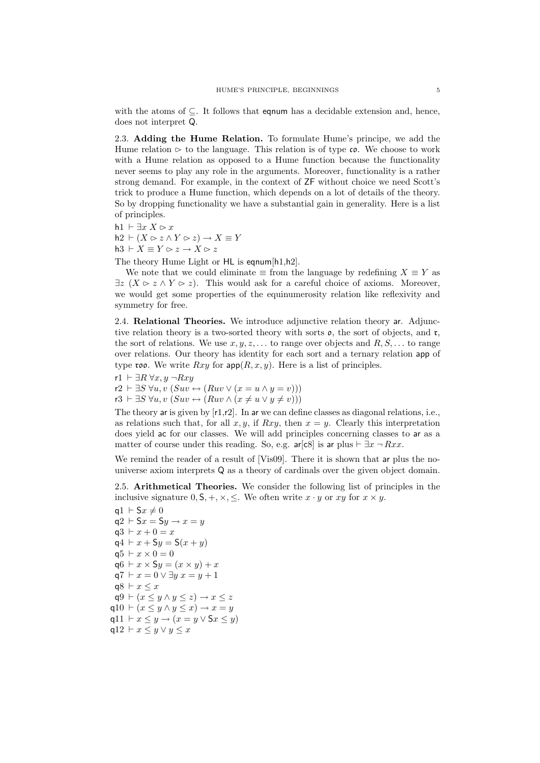with the atoms of ⊆. It follows that eqnum has a decidable extension and, hence, does not interpret Q.

2.3. Adding the Hume Relation. To formulate Hume's principe, we add the Hume relation  $\infty$  to the language. This relation is of type  $\mathfrak{co}$ . We choose to work with a Hume relation as opposed to a Hume function because the functionality never seems to play any role in the arguments. Moreover, functionality is a rather strong demand. For example, in the context of ZF without choice we need Scott's trick to produce a Hume function, which depends on a lot of details of the theory. So by dropping functionality we have a substantial gain in generality. Here is a list of principles.

h $1 \vdash \exists x \ X \rhd x$ 

 $h2 \vdash (X \rhd z \land Y \rhd z) \rightarrow X \equiv Y$ 

h3  $\vdash X \equiv Y \diamond z \rightarrow X \diamond z$ 

The theory Hume Light or HL is eqnum[h1,h2].

We note that we could eliminate  $\equiv$  from the language by redefining  $X \equiv Y$  as  $\exists z \ (X \in \mathbb{Z} \land Y \in \mathbb{Z})$ . This would ask for a careful choice of axioms. Moreover, we would get some properties of the equinumerosity relation like reflexivity and symmetry for free.

2.4. Relational Theories. We introduce adjunctive relation theory ar. Adjunctive relation theory is a two-sorted theory with sorts  $\rho$ , the sort of objects, and  $\mathfrak{r}$ , the sort of relations. We use  $x, y, z, \ldots$  to range over objects and  $R, S, \ldots$  to range over relations. Our theory has identity for each sort and a ternary relation app of type roo. We write  $Rxy$  for  $app(R, x, y)$ . Here is a list of principles.

r1  $\vdash \exists R \forall x, y \neg Rxy$ 

 $r2 \vdash \exists S \ \forall u, v \ (Suv \leftrightarrow (Ruv \lor (x = u \land y = v)))$ 

r3  $\vdash \exists S \ \forall u, v \ (Suv \leftrightarrow (Ruv \land (x \neq u \lor y \neq v)))$ 

The theory ar is given by  $[r1,r2]$ . In ar we can define classes as diagonal relations, i.e., as relations such that, for all x, y, if Rxy, then  $x = y$ . Clearly this interpretation does yield ac for our classes. We will add principles concerning classes to ar as a matter of course under this reading. So, e.g. ar[c8] is ar plus  $\vdash \exists x \neg Rxx$ .

We remind the reader of a result of [Vis09]. There it is shown that ar plus the nouniverse axiom interprets Q as a theory of cardinals over the given object domain.

2.5. Arithmetical Theories. We consider the following list of principles in the inclusive signature  $0, \mathsf{S}, +, \times, \leq$ . We often write  $x \cdot y$  or  $xy$  for  $x \times y$ .

```
q1 \vdash 5x \neq 0q2 \vdash 5x = 5y \rightarrow x = yq3 + x + 0 = xq4 \, \vdash x + Sy = S(x + y)a5 \vdash x \times 0 = 0q6 \vdash x \times Sy = (x \times y) + xq7 \vdash x = 0 \vee \exists y \ x = y + 1q8 \vdash x \leq xq9 \vdash (x \leq y \land y \leq z) \rightarrow x \leq zq10 \vdash (x \leq y \land y \leq x) \rightarrow x = yq11 \vdash x \leq y \rightarrow (x = y \vee 5x \leq y)q12 \vdash x \leq y \vee y \leq x
```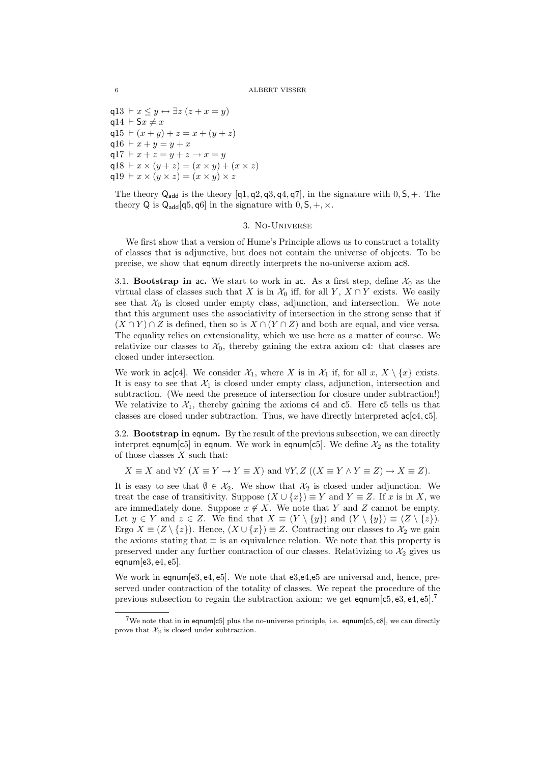$q13 \vdash x \leq y \leftrightarrow \exists z (z + x = y)$  $q14 \vdash 5x \neq x$  $q15 + (x + y) + z = x + (y + z)$  $q16 + x + y = y + x$  $q17 + x + z = y + z \rightarrow x = y$  $q18 \vdash x \times (y + z) = (x \times y) + (x \times z)$  $q19 \vdash x \times (y \times z) = (x \times y) \times z$ 

The theory  $Q_{\text{add}}$  is the theory  $[q1, q2, q3, q4, q7]$ , in the signature with  $0, S, +$ . The theory Q is  $Q_{\text{add}}[q5, q6]$  in the signature with  $0, S, +, \times$ .

### 3. No-Universe

We first show that a version of Hume's Principle allows us to construct a totality of classes that is adjunctive, but does not contain the universe of objects. To be precise, we show that eqnum directly interprets the no-universe axiom ac8.

3.1. Bootstrap in ac. We start to work in ac. As a first step, define  $\mathcal{X}_0$  as the virtual class of classes such that X is in  $\mathcal{X}_0$  iff, for all Y,  $X \cap Y$  exists. We easily see that  $\mathcal{X}_0$  is closed under empty class, adjunction, and intersection. We note that this argument uses the associativity of intersection in the strong sense that if  $(X \cap Y) \cap Z$  is defined, then so is  $X \cap (Y \cap Z)$  and both are equal, and vice versa. The equality relies on extensionality, which we use here as a matter of course. We relativize our classes to  $\mathcal{X}_0$ , thereby gaining the extra axiom  $c4$ : that classes are closed under intersection.

We work in ac[c4]. We consider  $\mathcal{X}_1$ , where X is in  $\mathcal{X}_1$  if, for all  $x, X \setminus \{x\}$  exists. It is easy to see that  $\mathcal{X}_1$  is closed under empty class, adjunction, intersection and subtraction. (We need the presence of intersection for closure under subtraction!) We relativize to  $\mathcal{X}_1$ , thereby gaining the axioms  $c4$  and  $c5$ . Here  $c5$  tells us that classes are closed under subtraction. Thus, we have directly interpreted  $\alpha[c4, c5]$ .

3.2. Bootstrap in eqnum. By the result of the previous subsection, we can directly interpret eqnum[c5] in eqnum. We work in eqnum[c5]. We define  $\mathcal{X}_2$  as the totality of those classes  $X$  such that:

 $X \equiv X$  and  $\forall Y$   $(X \equiv Y \rightarrow Y \equiv X)$  and  $\forall Y, Z$   $((X \equiv Y \land Y \equiv Z) \rightarrow X \equiv Z)$ .

It is easy to see that  $\emptyset \in \mathcal{X}_2$ . We show that  $\mathcal{X}_2$  is closed under adjunction. We treat the case of transitivity. Suppose  $(X \cup \{x\}) \equiv Y$  and  $Y \equiv Z$ . If x is in X, we are immediately done. Suppose  $x \notin X$ . We note that Y and Z cannot be empty. Let  $y \in Y$  and  $z \in Z$ . We find that  $X \equiv (Y \setminus \{y\})$  and  $(Y \setminus \{y\}) \equiv (Z \setminus \{z\})$ . Ergo  $X \equiv (Z \setminus \{z\})$ . Hence,  $(X \cup \{x\}) \equiv Z$ . Contracting our classes to  $\mathcal{X}_2$  we gain the axioms stating that ≡ is an equivalence relation. We note that this property is preserved under any further contraction of our classes. Relativizing to  $\mathcal{X}_2$  gives us eqnum[e3, e4, e5].

We work in equal  $[e3, e4, e5]$ . We note that  $e3, e4, e5$  are universal and, hence, preserved under contraction of the totality of classes. We repeat the procedure of the previous subsection to regain the subtraction axiom: we get eqnum  $\left[ c5, e3, e4, e5 \right]$ .

<sup>&</sup>lt;sup>7</sup>We note that in in eqnum[c5] plus the no-universe principle, i.e. eqnum[c5, c8], we can directly prove that  $\mathcal{X}_2$  is closed under subtraction.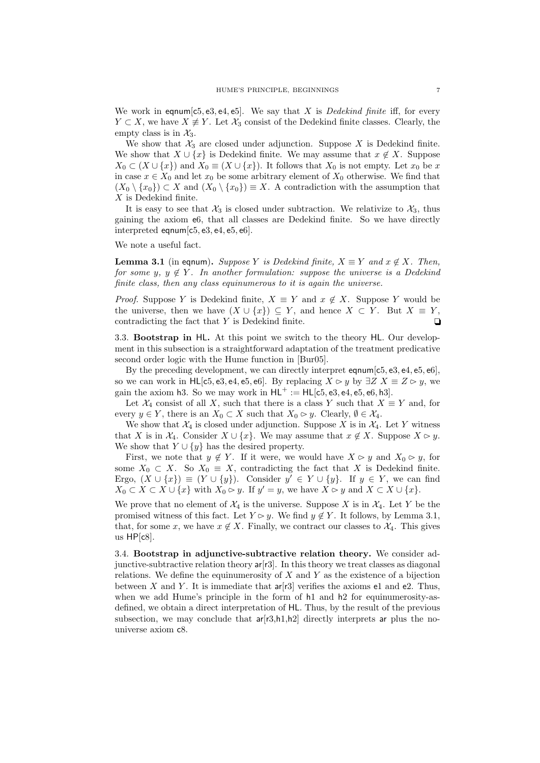We work in equam  $[c5, e3, e4, e5]$ . We say that X is *Dedekind finite* iff, for every  $Y \subset X$ , we have  $X \neq Y$ . Let  $\mathcal{X}_3$  consist of the Dedekind finite classes. Clearly, the empty class is in  $\mathcal{X}_3$ .

We show that  $\mathcal{X}_3$  are closed under adjunction. Suppose X is Dedekind finite. We show that  $X \cup \{x\}$  is Dedekind finite. We may assume that  $x \notin X$ . Suppose  $X_0 \subset (X \cup \{x\})$  and  $X_0 \equiv (X \cup \{x\})$ . It follows that  $X_0$  is not empty. Let  $x_0$  be x in case  $x \in X_0$  and let  $x_0$  be some arbitrary element of  $X_0$  otherwise. We find that  $(X_0 \setminus \{x_0\}) \subset X$  and  $(X_0 \setminus \{x_0\}) \equiv X$ . A contradiction with the assumption that X is Dedekind finite.

It is easy to see that  $\mathcal{X}_3$  is closed under subtraction. We relativize to  $\mathcal{X}_3$ , thus gaining the axiom e6, that all classes are Dedekind finite. So we have directly interpreted eqnum $[c5, e3, e4, e5, e6]$ .

We note a useful fact.

**Lemma 3.1** (in equam). Suppose Y is Dedekind finite,  $X \equiv Y$  and  $x \notin X$ . Then, for some y,  $y \notin Y$ . In another formulation: suppose the universe is a Dedekind finite class, then any class equinumerous to it is again the universe.

*Proof.* Suppose Y is Dedekind finite,  $X \equiv Y$  and  $x \notin X$ . Suppose Y would be the universe, then we have  $(X \cup \{x\}) \subseteq Y$ , and hence  $X \subset Y$ . But  $X \equiv Y$ , contradicting the fact that Y is Dedekind finite.  $\Box$ 

3.3. Bootstrap in HL. At this point we switch to the theory HL. Our development in this subsection is a straightforward adaptation of the treatment predicative second order logic with the Hume function in [Bur05].

By the preceding development, we can directly interpret eqnum[c5, e3, e4, e5, e6], so we can work in HL[c5, e3, e4, e5, e6]. By replacing  $X \text{~} \diamond y$  by  $\exists Z \text{~} Z \text{~} \geq Z \text{~} \diamond y$ , we gain the axiom h3. So we may work in  $HL^+ := HL[c5, e3, e4, e5, e6, h3]$ .

Let  $\mathcal{X}_4$  consist of all X, such that there is a class Y such that  $X \equiv Y$  and, for every  $y \in Y$ , there is an  $X_0 \subset X$  such that  $X_0 \rhd y$ . Clearly,  $\emptyset \in \mathcal{X}_4$ .

We show that  $\mathcal{X}_4$  is closed under adjunction. Suppose X is in  $\mathcal{X}_4$ . Let Y witness that X is in  $\mathcal{X}_4$ . Consider  $X \cup \{x\}$ . We may assume that  $x \notin X$ . Suppose  $X \circ y$ . We show that  $Y \cup \{y\}$  has the desired property.

First, we note that  $y \notin Y$ . If it were, we would have  $X \in \mathcal{Y}$  and  $X_0 \in \mathcal{Y}$ , for some  $X_0 \subset X$ . So  $X_0 \equiv X$ , contradicting the fact that X is Dedekind finite. Ergo,  $(X \cup \{x\}) \equiv (Y \cup \{y\})$ . Consider  $y' \in Y \cup \{y\}$ . If  $y \in Y$ , we can find  $X_0 \subset X \subset X \cup \{x\}$  with  $X_0 \sim y$ . If  $y' = y$ , we have  $X \sim y$  and  $X \subset X \cup \{x\}$ .

We prove that no element of  $\mathcal{X}_4$  is the universe. Suppose X is in  $\mathcal{X}_4$ . Let Y be the promised witness of this fact. Let  $Y \rhd y$ . We find  $y \notin Y$ . It follows, by Lemma 3.1, that, for some x, we have  $x \notin X$ . Finally, we contract our classes to  $\mathcal{X}_4$ . This gives us  $HP[c8]$ .

3.4. Bootstrap in adjunctive-subtractive relation theory. We consider adjunctive-subtractive relation theory  $ar[r3]$ . In this theory we treat classes as diagonal relations. We define the equinumerosity of  $X$  and  $Y$  as the existence of a bijection between X and Y. It is immediate that  $ar[r3]$  verifies the axioms e1 and e2. Thus, when we add Hume's principle in the form of h1 and h2 for equinumerosity-asdefined, we obtain a direct interpretation of HL. Thus, by the result of the previous subsection, we may conclude that  $ar[r3,h1,h2]$  directly interprets ar plus the nouniverse axiom c8.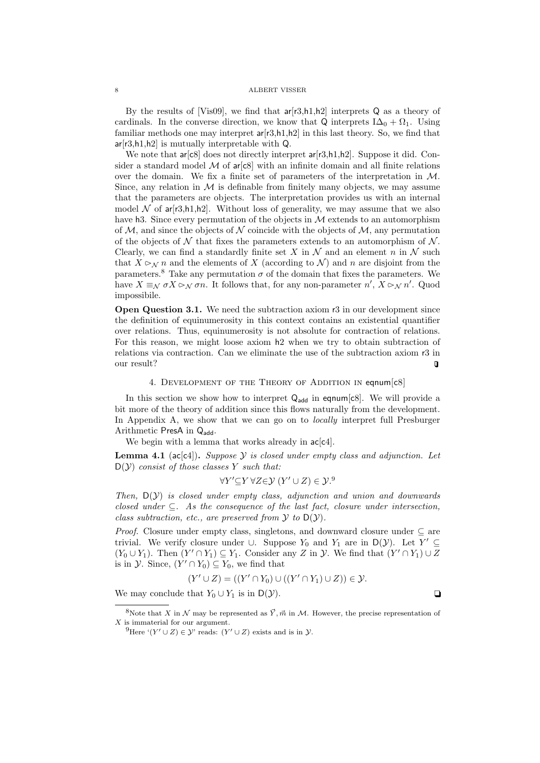By the results of [Vis09], we find that  $ar[r3,h1,h2]$  interprets Q as a theory of cardinals. In the converse direction, we know that Q interprets  $I\Delta_0 + \Omega_1$ . Using familiar methods one may interpret  $ar[r3,h1,h2]$  in this last theory. So, we find that  $ar[r3,h1,h2]$  is mutually interpretable with Q.

We note that  $ar[c8]$  does not directly interpret  $ar[r3,h1,h2]$ . Suppose it did. Consider a standard model  $\mathcal M$  of arc $\infty$ ] with an infinite domain and all finite relations over the domain. We fix a finite set of parameters of the interpretation in  $M$ . Since, any relation in  $M$  is definable from finitely many objects, we may assume that the parameters are objects. The interpretation provides us with an internal model  $\mathcal N$  of ar $[r3,h1,h2]$ . Without loss of generality, we may assume that we also have h3. Since every permutation of the objects in  $M$  extends to an automorphism of  $M$ , and since the objects of  $\mathcal N$  coincide with the objects of  $M$ , any permutation of the objects of  $\mathcal N$  that fixes the parameters extends to an automorphism of  $\mathcal N$ . Clearly, we can find a standardly finite set X in  $\mathcal N$  and an element n in  $\mathcal N$  such that  $X \rightharpoonup_N n$  and the elements of X (according to N) and n are disjoint from the parameters.<sup>8</sup> Take any permutation  $\sigma$  of the domain that fixes the parameters. We have  $X \equiv_N \sigma X \rhd_N \sigma n$ . It follows that, for any non-parameter  $n'$ ,  $X \rhd_N n'$ . Quod impossibile.

Open Question 3.1. We need the subtraction axiom r3 in our development since the definition of equinumerosity in this context contains an existential quantifier over relations. Thus, equinumerosity is not absolute for contraction of relations. For this reason, we might loose axiom h2 when we try to obtain subtraction of relations via contraction. Can we eliminate the use of the subtraction axiom r3 in our result?  $\Box$ 

## 4. DEVELOPMENT OF THE THEORY OF ADDITION IN eqnum[c8]

In this section we show how to interpret  $Q_{add}$  in eqnum[c8]. We will provide a bit more of the theory of addition since this flows naturally from the development. In Appendix A, we show that we can go on to *locally* interpret full Presburger Arithmetic PresA in  $Q_{add}$ .

We begin with a lemma that works already in  $ac[c4]$ .

**Lemma 4.1** (ac[c4]). Suppose  $\mathcal{Y}$  is closed under empty class and adjunction. Let  $D(Y)$  consist of those classes Y such that:

$$
\forall Y' \subseteq Y \forall Z \in \mathcal{Y} \ (Y' \cup Z) \in \mathcal{Y}^9
$$

Then,  $D(Y)$  is closed under empty class, adjunction and union and downwards closed under  $\subseteq$ . As the consequence of the last fact, closure under intersection, class subtraction, etc., are preserved from  $\mathcal Y$  to  $D(\mathcal Y)$ .

*Proof.* Closure under empty class, singletons, and downward closure under  $\subseteq$  are trivial. We verify closure under  $\cup$ . Suppose Y<sub>0</sub> and Y<sub>1</sub> are in D(Y). Let Y' ⊆  $(Y_0 \cup Y_1)$ . Then  $(Y' \cap Y_1) \subseteq Y_1$ . Consider any Z in  $\mathcal{Y}$ . We find that  $(Y' \cap Y_1) \cup Z$ is in  $\mathcal{Y}$ . Since,  $(Y' \cap Y_0) \subseteq Y_0$ , we find that

$$
(Y' \cup Z) = ((Y' \cap Y_0) \cup ((Y' \cap Y_1) \cup Z)) \in \mathcal{Y}.
$$

We may conclude that  $Y_0 \cup Y_1$  is in  $D(\mathcal{Y})$ .

<sup>&</sup>lt;sup>8</sup>Note that X in N may be represented as  $\vec{Y}, \vec{m}$  in M. However, the precise representation of  $X$  is immaterial for our argument.

<sup>&</sup>lt;sup>9</sup>Here ' $(Y' \cup Z) \in \mathcal{Y}'$  reads:  $(Y' \cup Z)$  exists and is in  $\mathcal{Y}$ .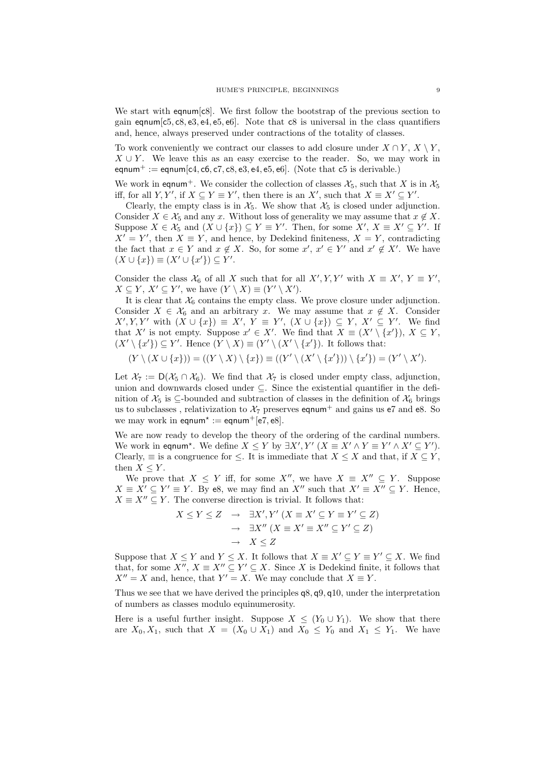We start with eqnum $[c8]$ . We first follow the bootstrap of the previous section to gain equal  $[65, 68, 63, 64, 65, 66]$ . Note that c8 is universal in the class quantifiers and, hence, always preserved under contractions of the totality of classes.

To work conveniently we contract our classes to add closure under  $X \cap Y$ ,  $X \setminus Y$ ,  $X \cup Y$ . We leave this as an easy exercise to the reader. So, we may work in eqnum<sup>+</sup> := eqnum[c4, c6, c7, c8, e3, e4, e5, e6]. (Note that c5 is derivable.)

We work in equal <sup>+</sup>. We consider the collection of classes  $\mathcal{X}_5$ , such that X is in  $\mathcal{X}_5$ iff, for all  $Y, Y'$ , if  $X \subseteq Y \equiv Y'$ , then there is an X', such that  $X \equiv X' \subseteq Y'$ .

Clearly, the empty class is in  $\mathcal{X}_5$ . We show that  $\mathcal{X}_5$  is closed under adjunction. Consider  $X \in \mathcal{X}_5$  and any x. Without loss of generality we may assume that  $x \notin X$ . Suppose  $X \in \mathcal{X}_5$  and  $(X \cup \{x\}) \subseteq Y \equiv Y'$ . Then, for some  $X'$ ,  $X \equiv X' \subseteq Y'$ . If  $X' = Y'$ , then  $X \equiv Y$ , and hence, by Dedekind finiteness,  $X = Y$ , contradicting the fact that  $x \in Y$  and  $x \notin X$ . So, for some  $x', x' \in Y'$  and  $x' \notin X'$ . We have  $(X \cup \{x\}) \equiv (X' \cup \{x'\}) \subseteq Y'.$ 

Consider the class  $\mathcal{X}_6$  of all X such that for all  $X', Y, Y'$  with  $X \equiv X', Y \equiv Y',$  $X \subseteq Y, X' \subseteq Y'$ , we have  $(Y \setminus X) \equiv (Y' \setminus X')$ .

It is clear that  $\mathcal{X}_6$  contains the empty class. We prove closure under adjunction. Consider  $X \in \mathcal{X}_6$  and an arbitrary x. We may assume that  $x \notin X$ . Consider  $X', Y, Y'$  with  $(X \cup \{x\}) \equiv X', Y \equiv Y', (X \cup \{x\}) \subseteq Y, X' \subseteq Y'$ . We find that X' is not empty. Suppose  $x' \in X'$ . We find that  $X \equiv (X' \setminus \{x'\})$ ,  $X \subseteq Y$ ,  $(X' \setminus \{x'\}) \subseteq Y'$ . Hence  $(Y \setminus X) \equiv (Y' \setminus (X' \setminus \{x'\})$ . It follows that:

 $(Y \setminus (X \cup \{x\})) = ((Y \setminus X) \setminus \{x\}) \equiv ((Y' \setminus (X' \setminus \{x'\})) \setminus \{x'\}) = (Y' \setminus X').$ 

Let  $\mathcal{X}_7 := D(\mathcal{X}_5 \cap \mathcal{X}_6)$ . We find that  $\mathcal{X}_7$  is closed under empty class, adjunction, union and downwards closed under ⊆. Since the existential quantifier in the definition of  $\mathcal{X}_5$  is ⊆-bounded and subtraction of classes in the definition of  $\mathcal{X}_6$  brings us to subclasses, relativization to  $\mathcal{X}_7$  preserves equal  $\mathcal{X}_7$  and gains us e7 and e8. So we may work in eqnum<sup>\*</sup> := eqnum<sup>+</sup>[e7, e8].

We are now ready to develop the theory of the ordering of the cardinal numbers. We work in eqnum<sup>\*</sup>. We define  $X \leq Y$  by  $\exists X', Y'$   $(X \equiv X' \land Y \equiv Y' \land X' \subseteq Y')$ . Clearly,  $\equiv$  is a congruence for  $\leq$ . It is immediate that  $X \leq X$  and that, if  $X \subseteq Y$ , then  $X \leq Y$ .

We prove that  $X \leq Y$  iff, for some  $X''$ , we have  $X \equiv X'' \subseteq Y$ . Suppose  $X \equiv X' \subseteq Y' \equiv Y$ . By e8, we may find an X'' such that  $X' \equiv X'' \subseteq Y$ . Hence,  $X \equiv X'' \subseteq Y$ . The converse direction is trivial. It follows that:

$$
X \le Y \le Z \quad \to \quad \exists X', Y' \ (X \equiv X' \subseteq Y \equiv Y' \subseteq Z)
$$

$$
\to \quad \exists X'' \ (X \equiv X' \equiv X'' \subseteq Y' \subseteq Z)
$$

$$
\to \quad X \le Z
$$

Suppose that  $X \leq Y$  and  $Y \leq X$ . It follows that  $X \equiv X' \subseteq Y \equiv Y' \subseteq X$ . We find that, for some  $X''$ ,  $X \equiv X'' \subseteq Y' \subseteq X$ . Since X is Dedekind finite, it follows that  $X'' = X$  and, hence, that  $Y' = X$ . We may conclude that  $X \equiv Y$ .

Thus we see that we have derived the principles  $q8, q9, q10$ , under the interpretation of numbers as classes modulo equinumerosity.

Here is a useful further insight. Suppose  $X \leq (Y_0 \cup Y_1)$ . We show that there are  $X_0, X_1$ , such that  $X = (X_0 \cup X_1)$  and  $X_0 \leq Y_0$  and  $X_1 \leq Y_1$ . We have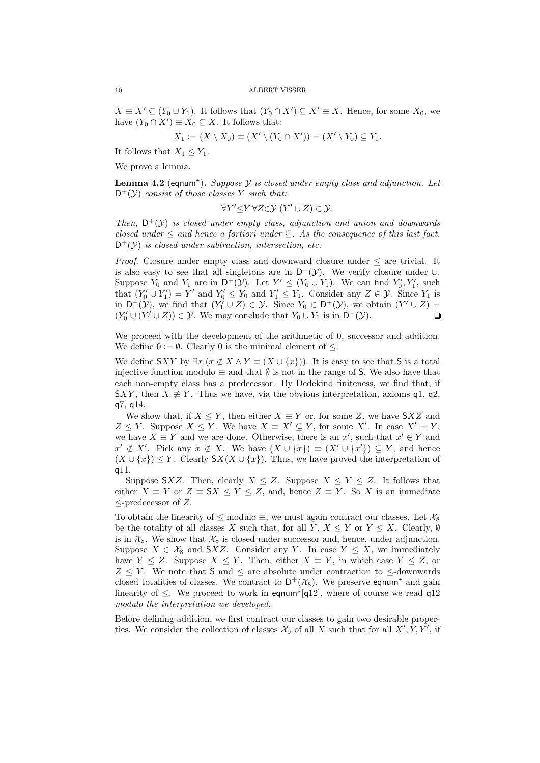$X \equiv X' \subseteq (Y_0 \cup Y_1)$ . It follows that  $(Y_0 \cap X') \subseteq X' \equiv X$ . Hence, for some  $X_0$ , we have  $(Y_0 \cap X') \equiv X_0 \subseteq X$ . It follows that:

$$
X_1 := (X \setminus X_0) \equiv (X' \setminus (Y_0 \cap X')) = (X' \setminus Y_0) \subseteq Y_1.
$$

It follows that  $X_1 \leq Y_1$ .

We prove a lemma.

**Lemma 4.2** (eqnum<sup>\*</sup>). Suppose  $\mathcal{Y}$  is closed under empty class and adjunction. Let  $D^+(\mathcal{Y})$  consist of those classes Y such that:

$$
\forall Y' \leq Y \,\forall Z \in \mathcal{Y} \,(Y' \cup Z) \in \mathcal{Y}.
$$

Then,  $D^+(\mathcal{Y})$  is closed under empty class, adjunction and union and downwards closed under  $\leq$  and hence a fortiori under  $\subseteq$ . As the consequence of this last fact,  $D^+(\mathcal{Y})$  is closed under subtraction, intersection, etc.

*Proof.* Closure under empty class and downward closure under  $\leq$  are trivial. It is also easy to see that all singletons are in  $D^+(\mathcal{Y})$ . We verify closure under  $\cup$ . Suppose  $Y_0$  and  $Y_1$  are in  $D^+(\mathcal{Y})$ . Let  $Y' \leq (Y_0 \cup Y_1)$ . We can find  $Y'_0, Y'_1$ , such that  $(Y_0' \cup Y_1') = Y'$  and  $Y_0' \leq Y_0$  and  $Y_1' \leq Y_1$ . Consider any  $Z \in \mathcal{Y}$ . Since  $Y_1$  is in  $D^+(\mathcal{Y})$ , we find that  $(Y'_1 \cup Z) \in \mathcal{Y}$ . Since  $Y_0 \in D^+(\mathcal{Y})$ , we obtain  $(Y' \cup Z)$  $(Y'_0 \cup (Y'_1 \cup Z)) \in \mathcal{Y}$ . We may conclude that  $Y_0 \cup Y_1$  is in  $D^+(\mathcal{Y})$ .

We proceed with the development of the arithmetic of 0, successor and addition. We define  $0 := \emptyset$ . Clearly 0 is the minimal element of  $\leq$ .

We define SXY by  $\exists x \ (x \notin X \land Y \equiv (X \cup \{x\}))$ . It is easy to see that S is a total injective function modulo  $\equiv$  and that  $\emptyset$  is not in the range of S. We also have that each non-empty class has a predecessor. By Dedekind finiteness, we find that, if SXY, then  $X \not\equiv Y$ . Thus we have, via the obvious interpretation, axioms q1, q2, q7, q14.

We show that, if  $X \leq Y$ , then either  $X \equiv Y$  or, for some Z, we have  $S X Z$  and  $Z \leq Y$ . Suppose  $X \leq Y$ . We have  $X \equiv X' \subseteq Y$ , for some X'. In case  $X' = Y$ , we have  $X \equiv Y$  and we are done. Otherwise, there is an  $x'$ , such that  $x' \in Y$  and  $x' \notin X'$ . Pick any  $x \notin X$ . We have  $(X \cup \{x\}) \equiv (X' \cup \{x'\}) \subseteq Y$ , and hence  $(X \cup \{x\}) \leq Y$ . Clearly  $\mathsf{S}X(X \cup \{x\})$ . Thus, we have proved the interpretation of q11.

Suppose SXZ. Then, clearly  $X \leq Z$ . Suppose  $X \leq Y \leq Z$ . It follows that either  $X \equiv Y$  or  $Z \equiv S X \le Y \le Z$ , and, hence  $Z \equiv Y$ . So X is an immediate ≤-predecessor of Z.

To obtain the linearity of  $\leq$  modulo  $\equiv$ , we must again contract our classes. Let  $\mathcal{X}_8$ be the totality of all classes X such that, for all Y,  $X \leq Y$  or  $Y \leq X$ . Clearly, Ø is in  $X_8$ . We show that  $X_8$  is closed under successor and, hence, under adjunction. Suppose  $X \in \mathcal{X}_8$  and  $S X Z$ . Consider any Y. In case  $Y \leq X$ , we immediately have  $Y \leq Z$ . Suppose  $X \leq Y$ . Then, either  $X \equiv Y$ , in which case  $Y \leq Z$ , or  $Z \leq Y$ . We note that S and  $\leq$  are absolute under contraction to  $\leq$ -downwards closed totalities of classes. We contract to  $D^+(\mathcal{X}_8)$ . We preserve eqnum<sup>\*</sup> and gain linearity of  $\leq$ . We proceed to work in eqnum<sup>\*</sup>[q12], where of course we read q12 modulo the interpretation we developed.

Before defining addition, we first contract our classes to gain two desirable properties. We consider the collection of classes  $\mathcal{X}_9$  of all X such that for all  $X', Y, Y',$  if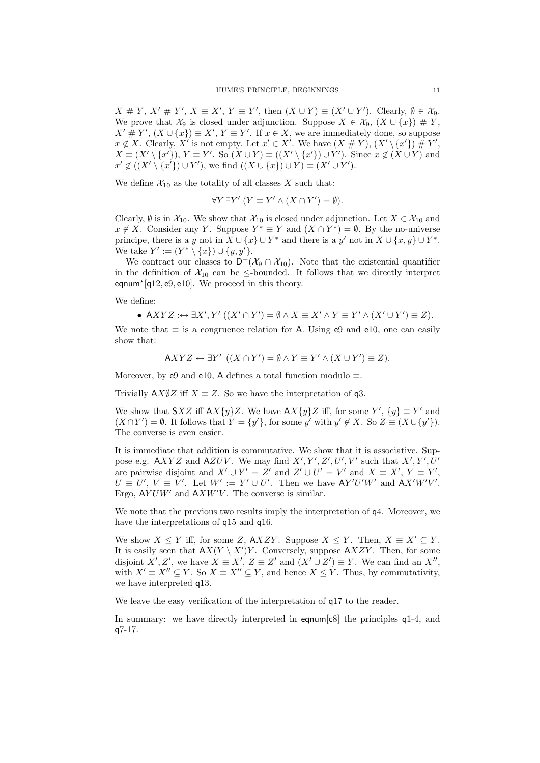$X \# Y$ ,  $X' \# Y'$ ,  $X \equiv X'$ ,  $Y \equiv Y'$ , then  $(X \cup Y) \equiv (X' \cup Y')$ . Clearly,  $\emptyset \in \mathcal{X}_9$ . We prove that  $\mathcal{X}_9$  is closed under adjunction. Suppose  $X \in \mathcal{X}_9$ ,  $(X \cup \{x\}) \# Y$ ,  $X' \# Y'$ ,  $(X \cup \{x\}) \equiv X'$ ,  $Y \equiv Y'$ . If  $x \in X$ , we are immediately done, so suppose  $x \notin X$ . Clearly, X' is not empty. Let  $x' \in X'$ . We have  $(X \# Y)$ ,  $(X' \setminus \{x'\}) \# Y'$ ,  $X \equiv (X' \setminus \{x'\})$ ,  $Y \equiv Y'$ . So  $(X \cup Y) \equiv ((X' \setminus \{x'\}) \cup Y')$ . Since  $x \notin (X \cup Y)$  and  $x' \notin ((X' \setminus \{x'\}) \cup Y')$ , we find  $((X \cup \{x\}) \cup Y) \equiv (X' \cup Y')$ .

We define  $\mathcal{X}_{10}$  as the totality of all classes X such that:

$$
\forall Y \exists Y' (Y \equiv Y' \land (X \cap Y') = \emptyset).
$$

Clearly,  $\emptyset$  is in  $\mathcal{X}_{10}$ . We show that  $\mathcal{X}_{10}$  is closed under adjunction. Let  $X \in \mathcal{X}_{10}$  and  $x \notin X$ . Consider any Y. Suppose  $Y^* \equiv Y$  and  $(X \cap Y^*) = \emptyset$ . By the no-universe principe, there is a y not in  $X \cup \{x\} \cup Y^*$  and there is a y' not in  $X \cup \{x,y\} \cup Y^*$ . We take  $Y' := (Y^* \setminus \{x\}) \cup \{y, y'\}.$ 

We contract our classes to  $D^+(\mathcal{X}_9 \cap \mathcal{X}_{10})$ . Note that the existential quantifier in the definition of  $\mathcal{X}_{10}$  can be  $\leq$ -bounded. It follows that we directly interpret eqnum<sup>\*</sup>[q12, e9, e10]. We proceed in this theory.

We define:

• 
$$
AXYZ : \leftrightarrow \exists X', Y' ((X' \cap Y') = \emptyset \land X \equiv X' \land Y \equiv Y' \land (X' \cup Y') \equiv Z).
$$

We note that  $\equiv$  is a congruence relation for A. Using e9 and e10, one can easily show that:

$$
AXYZ \leftrightarrow \exists Y' ((X \cap Y') = \emptyset \land Y \equiv Y' \land (X \cup Y') \equiv Z).
$$

Moreover, by e9 and e10, A defines a total function modulo  $\equiv$ .

Trivially  $AX\&Z$  iff  $X \equiv Z$ . So we have the interpretation of q3.

We show that  $S X Z$  iff  $A X \{y\} Z$ . We have  $A X \{y\} Z$  iff, for some  $Y'$ ,  $\{y\} \equiv Y'$  and  $(X \cap Y') = \emptyset$ . It follows that  $Y = \{y'\}$ , for some y' with  $y' \notin X$ . So  $Z \equiv (X \cup \{y'\})$ . The converse is even easier.

It is immediate that addition is commutative. We show that it is associative. Suppose e.g.  $AXYZ$  and  $AZUV$ . We may find  $X', Y', Z', U', V'$  such that  $X', Y', U'$ are pairwise disjoint and  $X' \cup Y' = Z'$  and  $Z' \cup U' = V'$  and  $X \equiv X', Y \equiv Y'$ ,  $U \equiv U', V \equiv V'$ . Let  $W' := Y' \cup U'$ . Then we have  $AY'U'W'$  and  $AX'W'V'$ . Ergo,  $AYUW'$  and  $AXW'V$ . The converse is similar.

We note that the previous two results imply the interpretation of  $q4$ . Moreover, we have the interpretations of q15 and q16.

We show  $X \leq Y$  iff, for some Z,  $AXZY$ . Suppose  $X \leq Y$ . Then,  $X \equiv X' \subseteq Y$ . It is easily seen that  $AX(Y \setminus X')Y$ . Conversely, suppose  $AXZY$ . Then, for some disjoint X', Z', we have  $X \equiv X'$ ,  $Z \equiv Z'$  and  $(X' \cup Z') \equiv Y$ . We can find an X'', with  $X' \equiv X'' \subseteq Y$ . So  $X \equiv X'' \subseteq Y$ , and hence  $X \leq Y$ . Thus, by commutativity, we have interpreted q13.

We leave the easy verification of the interpretation of  $q17$  to the reader.

In summary: we have directly interpreted in eqnum[c8] the principles q1-4, and q7-17.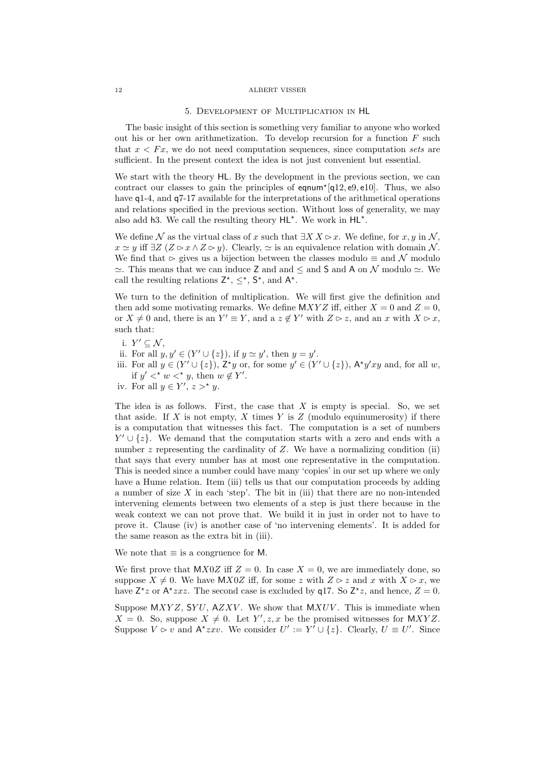#### 5. Development of Multiplication in HL

The basic insight of this section is something very familiar to anyone who worked out his or her own arithmetization. To develop recursion for a function  $F$  such that  $x < Fx$ , we do not need computation sequences, since computation sets are sufficient. In the present context the idea is not just convenient but essential.

We start with the theory HL. By the development in the previous section, we can contract our classes to gain the principles of  $eqnum*[q12, e9, e10]$ . Thus, we also have  $q1-4$ , and  $q7-17$  available for the interpretations of the arithmetical operations and relations specified in the previous section. Without loss of generality, we may also add h3. We call the resulting theory  $HL^*$ . We work in  $HL^*$ .

We define N as the virtual class of x such that  $\exists X X \geq x$ . We define, for x, y in N,  $x \simeq y$  iff  $\exists Z \ (Z \rhd x \wedge Z \rhd y)$ . Clearly,  $\simeq$  is an equivalence relation with domain N. We find that  $\circ$  gives us a bijection between the classes modulo  $\equiv$  and N modulo  $\approx$ . This means that we can induce Z and and  $\leq$  and S and A on N modulo  $\approx$ . We call the resulting relations  $Z^*, \leq^*, S^*,$  and  $A^*$ .

We turn to the definition of multiplication. We will first give the definition and then add some motivating remarks. We define  $MXYZ$  iff, either  $X = 0$  and  $Z = 0$ . or  $X \neq 0$  and, there is an  $Y' \equiv Y$ , and a  $z \notin Y'$  with  $Z \in \mathcal{Z}$ , and an x with  $X \in \mathcal{Z}$ , and that such that:

- i.  $Y' \subseteq \mathcal{N}$ ,
- ii. For all  $y, y' \in (Y' \cup \{z\})$ , if  $y \simeq y'$ , then  $y = y'$ .
- iii. For all  $y \in (Y' \cup \{z\}), Z^*y$  or, for some  $y' \in (Y' \cup \{z\}), A^*y'xy$  and, for all w, if  $y' <^* w <^* y$ , then  $w \notin Y'$ .
- iv. For all  $y \in Y'$ ,  $z >^* y$ .

The idea is as follows. First, the case that  $X$  is empty is special. So, we set that aside. If  $X$  is not empty,  $X$  times  $Y$  is  $Z$  (modulo equinumerosity) if there is a computation that witnesses this fact. The computation is a set of numbers  $Y' \cup \{z\}$ . We demand that the computation starts with a zero and ends with a number  $z$  representing the cardinality of  $Z$ . We have a normalizing condition (ii) that says that every number has at most one representative in the computation. This is needed since a number could have many 'copies' in our set up where we only have a Hume relation. Item (iii) tells us that our computation proceeds by adding a number of size  $X$  in each 'step'. The bit in (iii) that there are no non-intended intervening elements between two elements of a step is just there because in the weak context we can not prove that. We build it in just in order not to have to prove it. Clause (iv) is another case of 'no intervening elements'. It is added for the same reason as the extra bit in (iii).

We note that  $\equiv$  is a congruence for M.

We first prove that  $MX0Z$  iff  $Z = 0$ . In case  $X = 0$ , we are immediately done, so suppose  $X \neq 0$ . We have MX0Z iff, for some z with  $Z \geq z$  and x with  $X \geq x$ , we have  $Z^*z$  or  $A^*zxz$ . The second case is excluded by q17. So  $Z^*z$ , and hence,  $Z=0$ .

Suppose  $MXYZ$ , SYU, AZXV. We show that  $MXUV$ . This is immediate when  $X = 0$ . So, suppose  $X \neq 0$ . Let  $Y', z, x$  be the promised witnesses for MXYZ. Suppose  $V \circ v$  and  $A^*zxv$ . We consider  $U' := Y' \cup \{z\}$ . Clearly,  $U \equiv U'$ . Since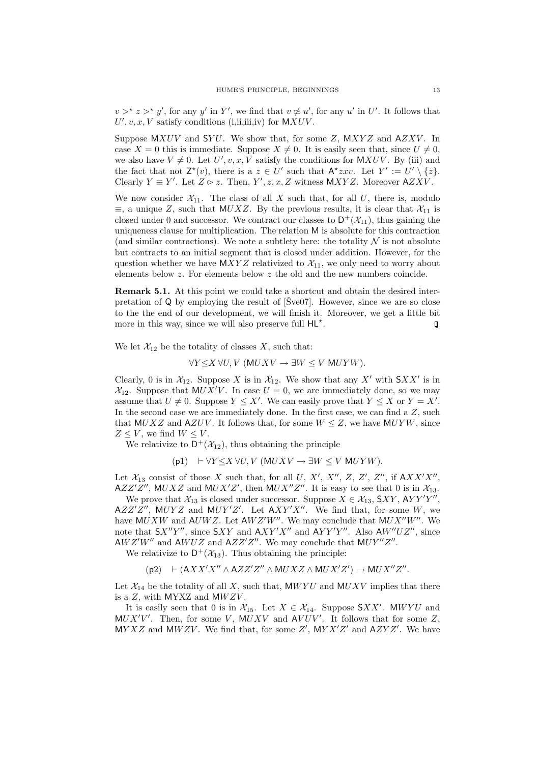$v >^* z >^* y'$ , for any y' in Y', we find that  $v \not\cong u'$ , for any u' in U'. It follows that  $U', v, x, V$  satisfy conditions (i,ii,iii,iv) for MXUV.

Suppose  $M X U V$  and  $S Y U$ . We show that, for some Z,  $M X Y Z$  and  $A Z X V$ . In case  $X = 0$  this is immediate. Suppose  $X \neq 0$ . It is easily seen that, since  $U \neq 0$ , we also have  $V \neq 0$ . Let  $U', v, x, V$  satisfy the conditions for MXUV. By (iii) and the fact that not  $\mathsf{Z}^{\star}(v)$ , there is a  $z \in U'$  such that  $\mathsf{A}^{\star}zxv$ . Let  $Y' := U' \setminus \{z\}$ . Clearly  $Y \equiv Y'$ . Let  $Z \sim z$ . Then,  $Y', z, x, Z$  witness  $MXYZ$ . Moreover  $AZXV$ .

We now consider  $\mathcal{X}_{11}$ . The class of all X such that, for all U, there is, modulo  $\equiv$ , a unique Z, such that MUXZ. By the previous results, it is clear that  $\mathcal{X}_{11}$  is closed under 0 and successor. We contract our classes to  $D^+(\mathcal{X}_{11})$ , thus gaining the uniqueness clause for multiplication. The relation M is absolute for this contraction (and similar contractions). We note a subtlety here: the totality  $\mathcal N$  is not absolute but contracts to an initial segment that is closed under addition. However, for the question whether we have  $MXYZ$  relativized to  $\mathcal{X}_{11}$ , we only need to worry about elements below  $z$ . For elements below  $z$  the old and the new numbers coincide.

Remark 5.1. At this point we could take a shortcut and obtain the desired interpretation of  $Q$  by employing the result of  $[\text{Sve07}]$ . However, since we are so close to the the end of our development, we will finish it. Moreover, we get a little bit more in this way, since we will also preserve full  $HL^*$ .  $\overline{u}$ 

We let  $\mathcal{X}_{12}$  be the totality of classes X, such that:

$$
\forall Y \le X \,\forall U, V \,(MUXV \to \exists W \le V \,MUYW).
$$

Clearly, 0 is in  $\mathcal{X}_{12}$ . Suppose X is in  $\mathcal{X}_{12}$ . We show that any X' with  $SXX'$  is in  $\mathcal{X}_{12}$ . Suppose that MUX'V. In case  $U = 0$ , we are immediately done, so we may assume that  $U \neq 0$ . Suppose  $Y \leq X'$ . We can easily prove that  $Y \leq X$  or  $Y = X'$ . In the second case we are immediately done. In the first case, we can find a  $Z$ , such that MUXZ and AZUV. It follows that, for some  $W \leq Z$ , we have MUYW, since  $Z \leq V$ , we find  $W \leq V$ .

We relativize to  $D^+(\mathcal{X}_{12})$ , thus obtaining the principle

 $(p1)$   $\vdash \forall Y \leq X \forall U, V \ (MUXV \rightarrow \exists W \leq V \ MUYW).$ 

Let  $\mathcal{X}_{13}$  consist of those X such that, for all U, X', X'', Z, Z', Z'', if  $AXX'X''$ ,  $AZZ'Z''$ , MUXZ and MUX'Z', then MUX''Z''. It is easy to see that 0 is in  $\mathcal{X}_{13}$ .

We prove that  $\mathcal{X}_{13}$  is closed under successor. Suppose  $X \in \mathcal{X}_{13}$ , SXY, AYY'Y'',  $AZZ'Z''$ , MUYZ and MUY'Z'. Let  $AXY'X''$ . We find that, for some W, we have  $MUXW$  and  $AUWZ$ . Let  $A WZ'W''$ . We may conclude that  $MUX''W''$ . We note that  $S X'' Y''$ , since  $S XY$  and  $A XY' X''$  and  $A Y' Y''$ . Also  $A W'' U Z''$ , since  $AWZ'W''$  and  $AWUZ$  and  $AZZ'Z''$ . We may conclude that  $MUY''Z''$ .

We relativize to  $D^+(\mathcal{X}_{13})$ . Thus obtaining the principle:

$$
(p2) \quad \vdash (AXX'X'' \land AZZ'Z'' \land MUXZ \land MUX'Z') \rightarrow MUX''Z''.
$$

Let  $\mathcal{X}_{14}$  be the totality of all X, such that, MWYU and MUXV implies that there is a  $Z$ , with MYXZ and MWZV.

It is easily seen that 0 is in  $\mathcal{X}_{15}$ . Let  $X \in \mathcal{X}_{14}$ . Suppose SXX'. MWYU and  $MUX'V'$ . Then, for some V,  $MUXV$  and  $AVUV'$ . It follows that for some Z,  $MYXZ$  and  $MWZV$ . We find that, for some Z',  $MYX'Z'$  and  $AZYZ'$ . We have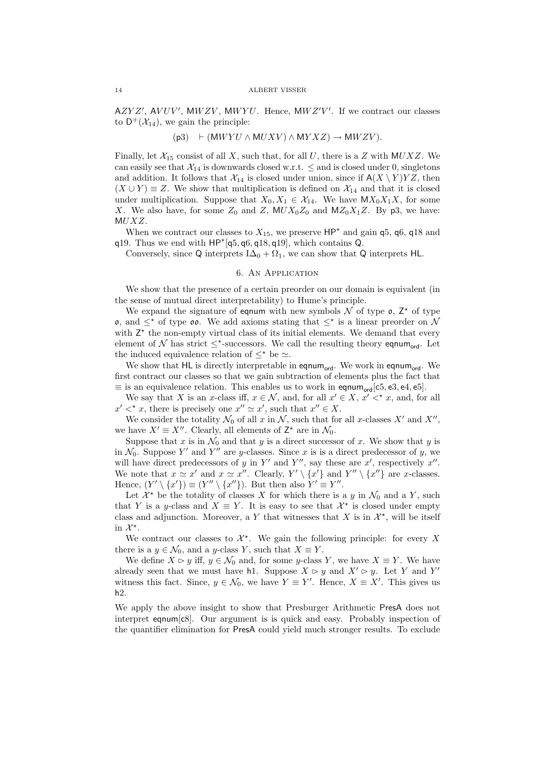AZYZ', AVUV', MWZV, MWYU. Hence, MWZ'V'. If we contract our classes to  $D^+(\mathcal{X}_{14})$ , we gain the principle:

 $(p3)$   $\vdash (MWYU \land MUXV) \land MYXZ$ )  $\rightarrow MWZV$ .

Finally, let  $\mathcal{X}_{15}$  consist of all X, such that, for all U, there is a Z with MUXZ. We can easily see that  $\mathcal{X}_{14}$  is downwards closed w.r.t.  $\leq$  and is closed under 0, singletons and addition. It follows that  $\mathcal{X}_{14}$  is closed under union, since if  $A(X \ Y)YZ$ , then  $(X \cup Y) \equiv Z$ . We show that multiplication is defined on  $\mathcal{X}_{14}$  and that it is closed under multiplication. Suppose that  $X_0, X_1 \in \mathcal{X}_{14}$ . We have  $MX_0X_1X$ , for some X. We also have, for some  $Z_0$  and  $Z$ ,  $MUX_0Z_0$  and  $MZ_0X_1Z$ . By p3, we have: MUXZ.

When we contract our classes to  $X_{15}$ , we preserve  $HP^*$  and gain  $q5$ ,  $q6$ ,  $q18$  and q19. Thus we end with  $HP^{\star}[\mathsf{q}5,\mathsf{q}6,\mathsf{q}18,\mathsf{q}19]$ , which contains Q.

Conversely, since Q interprets  $I\Delta_0 + \Omega_1$ , we can show that Q interprets HL.

# 6. An Application

We show that the presence of a certain preorder on our domain is equivalent (in the sense of mutual direct interpretability) to Hume's principle.

We expand the signature of eqnum with new symbols  $\mathcal N$  of type  $\rho$ ,  $Z^*$  of type o, and  $\leq^*$  of type oo. We add axioms stating that  $\leq^*$  is a linear preorder on N with  $Z^*$  the non-empty virtual class of its initial elements. We demand that every element of  $\mathcal N$  has strict  $\leq^*$ -successors. We call the resulting theory eqnum<sub>ord</sub>. Let the induced equivalence relation of  $\leq^*$  be  $\simeq$ .

We show that HL is directly interpretable in eqnum<sub>ord</sub>. We work in eqnum<sub>ord</sub>. We first contract our classes so that we gain subtraction of elements plus the fact that  $\equiv$  is an equivalence relation. This enables us to work in equal  $[c5, e3, e4, e5]$ .

We say that X is an x-class iff,  $x \in \mathcal{N}$ , and, for all  $x' \in X$ ,  $x' \lt^* x$ , and, for all  $x' <^* x$ , there is precisely one  $x'' \simeq x'$ , such that  $x'' \in X$ .

We consider the totality  $\mathcal{N}_0$  of all x in  $\mathcal{N}$ , such that for all x-classes  $X'$  and  $X''$ , we have  $X' \equiv X''$ . Clearly, all elements of  $Z^*$  are in  $\mathcal{N}_0$ .

Suppose that x is in  $\mathcal{N}_0$  and that y is a direct successor of x. We show that y is in  $\mathcal{N}_0$ . Suppose Y' and Y'' are y-classes. Since x is is a direct predecessor of y, we will have direct predecessors of y in Y' and Y'', say these are  $x'$ , respectively  $x''$ . We note that  $x \simeq x'$  and  $x \simeq x''$ . Clearly,  $Y' \setminus \{x'\}$  and  $Y'' \setminus \{x''\}$  are x-classes. Hence,  $(Y' \setminus \{x'\}) \equiv (Y'' \setminus \{x''\})$ . But then also  $Y' \equiv Y''$ .

Let  $\mathcal{X}^*$  be the totality of classes X for which there is a y in  $\mathcal{N}_0$  and a Y, such that Y is a y-class and  $X \equiv Y$ . It is easy to see that  $\mathcal{X}^*$  is closed under empty class and adjunction. Moreover, a Y that witnesses that X is in  $\mathcal{X}^*$ , will be itself in  $\mathcal{X}^*$ .

We contract our classes to  $\mathcal{X}^*$ . We gain the following principle: for every X there is a  $y \in \mathcal{N}_0$ , and a y-class Y, such that  $X \equiv Y$ .

We define  $X \geq y$  iff,  $y \in \mathcal{N}_0$  and, for some y-class Y, we have  $X \equiv Y$ . We have already seen that we must have h1. Suppose  $X \sim y$  and  $X' \sim y$ . Let Y and Y'<br>withose this foot. Since  $y \in \mathcal{N}$ , we have  $Y = Y'$ . Hones,  $X = Y'$ . This gives us witness this fact. Since,  $y \in \mathcal{N}_0$ , we have  $Y \equiv Y'$ . Hence,  $X \equiv X'$ . This gives us h2.

We apply the above insight to show that Presburger Arithmetic PresA does not interpret eqnum[c8]. Our argument is is quick and easy. Probably inspection of the quantifier elimination for PresA could yield much stronger results. To exclude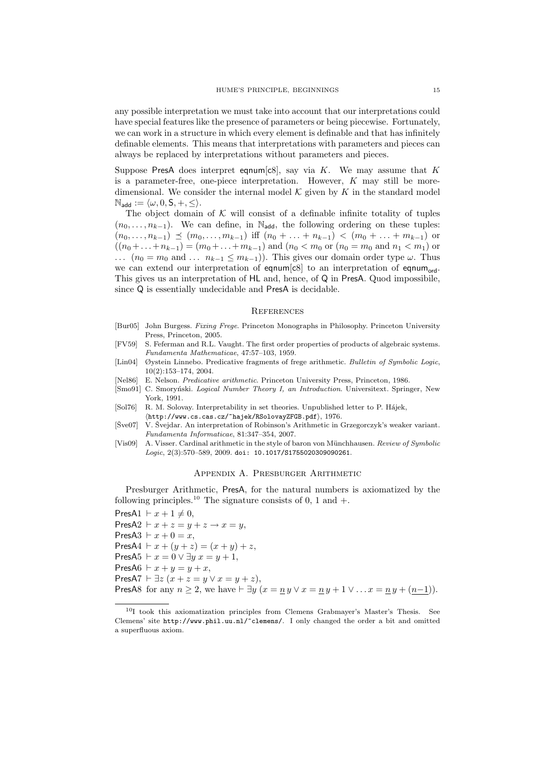any possible interpretation we must take into account that our interpretations could have special features like the presence of parameters or being piecewise. Fortunately, we can work in a structure in which every element is definable and that has infinitely definable elements. This means that interpretations with parameters and pieces can always be replaced by interpretations without parameters and pieces.

Suppose PresA does interpret eqnum $\lceil c8 \rceil$ , say via K. We may assume that K is a parameter-free, one-piece interpretation. However,  $K$  may still be moredimensional. We consider the internal model  $K$  given by  $K$  in the standard model  $\mathbb{N}_{\text{add}} := \langle \omega, 0, \mathsf{S}, +, \leq \rangle.$ 

The object domain of  $\mathcal K$  will consist of a definable infinite totality of tuples  $(n_0, \ldots, n_{k-1})$ . We can define, in N<sub>add</sub>, the following ordering on these tuples:  $(n_0, \ldots, n_{k-1}) \preceq (m_0, \ldots, m_{k-1})$  iff  $(n_0 + \ldots + n_{k-1}) < (m_0 + \ldots + m_{k-1})$  or  $((n_0 + ... + n_{k-1}) = (m_0 + ... + m_{k-1})$  and  $(n_0 < m_0$  or  $(n_0 = m_0$  and  $n_1 < m_1)$  or ...  $(n_0 = m_0 \text{ and } ... \text{ } n_{k-1} \leq m_{k-1})$ ). This gives our domain order type  $\omega$ . Thus we can extend our interpretation of eqnum[c8] to an interpretation of eqnum<sub>ord</sub>. This gives us an interpretation of HL and, hence, of Q in PresA. Quod impossibile, since Q is essentially undecidable and PresA is decidable.

#### **REFERENCES**

- [Bur05] John Burgess. Fixing Frege. Princeton Monographs in Philosophy. Princeton University Press, Princeton, 2005.
- [FV59] S. Feferman and R.L. Vaught. The first order properties of products of algebraic systems. Fundamenta Mathematicae, 47:57–103, 1959.
- [Lin04] Øystein Linnebo. Predicative fragments of frege arithmetic. Bulletin of Symbolic Logic, 10(2):153–174, 2004.
- [Nel86] E. Nelson. Predicative arithmetic. Princeton University Press, Princeton, 1986.
- [Smo91] C. Smoryński. Logical Number Theory I, an Introduction. Universitext. Springer, New York, 1991.
- [Sol76] R. M. Solovay. Interpretability in set theories. Unpublished letter to P. Hájek,  $\langle$ http://www.cs.cas.cz/~hajek/RSolovayZFGB.pdf $\rangle$ , 1976.
- [Šve07] V. Švejdar. An interpretation of Robinson's Arithmetic in Grzegorczyk's weaker variant. Fundamenta Informaticae, 81:347–354, 2007.
- [Vis09] A. Visser. Cardinal arithmetic in the style of baron von Münchhausen. Review of Symbolic Logic, 2(3):570–589, 2009. doi: 10.1017/S1755020309090261.

### Appendix A. Presburger Arithmetic

Presburger Arithmetic, PresA, for the natural numbers is axiomatized by the following principles.<sup>10</sup> The signature consists of 0, 1 and  $+$ .

PresA $1 \vdash x + 1 \neq 0$ , PresA2  $\vdash x + z = y + z \rightarrow x = y$ , PresA3  $\vdash x + 0 = x$ , PresA4  $\vdash x + (y + z) = (x + y) + z$ , PresA5  $\vdash x = 0 \lor \exists y \ x = y + 1$ , PresA6  $\vdash x + y = y + x$ , PresA7  $\vdash \exists z$   $(x + z = y \lor x = y + z),$ PresA8 for any  $n \ge 2$ , we have  $\vdash \exists y \ (x = \underline{n} \ y \ \lor \ x = \underline{n} \ y + 1 \ \lor \ \dots \ x = \underline{n} \ y + (n-1)).$ 

 $10$ I took this axiomatization principles from Clemens Grabmayer's Master's Thesis. See Clemens' site http://www.phil.uu.nl/~clemens/. I only changed the order a bit and omitted a superfluous axiom.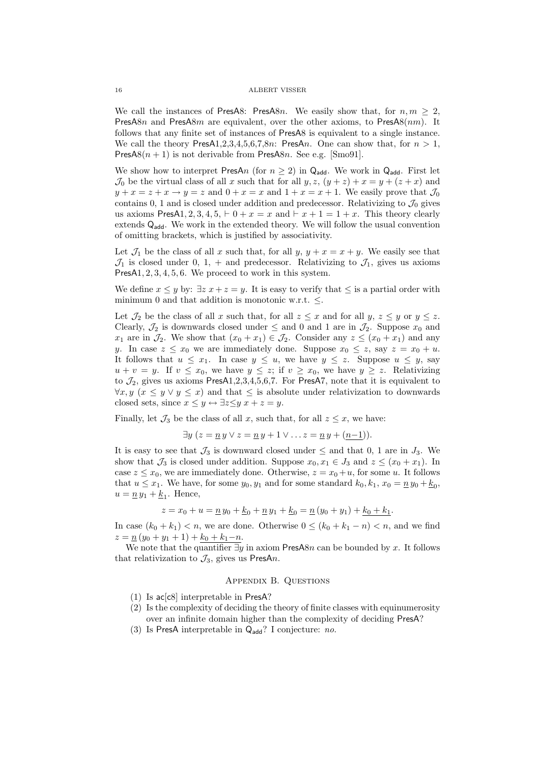We call the instances of PresA8: PresA8n. We easily show that, for  $n, m \geq 2$ , PresA8n and PresA8m are equivalent, over the other axioms, to PresA8 $(nm)$ . It follows that any finite set of instances of PresA8 is equivalent to a single instance. We call the theory PresA1,2,3,4,5,6,7,8n: PresAn. One can show that, for  $n > 1$ , PresA $8(n + 1)$  is not derivable from PresA $8n$ . See e.g. [Smo91].

We show how to interpret PresAn (for  $n \geq 2$ ) in Q<sub>add</sub>. We work in Q<sub>add</sub>. First let  $\mathcal{J}_0$  be the virtual class of all x such that for all  $y, z, (y + z) + x = y + (z + x)$  and  $y + x = z + x \rightarrow y = z$  and  $0 + x = x$  and  $1 + x = x + 1$ . We easily prove that  $\mathcal{J}_0$ contains 0, 1 and is closed under addition and predecessor. Relativizing to  $\mathcal{J}_0$  gives us axioms PresA1, 2, 3, 4, 5,  $\vdash$  0 +  $x = x$  and  $\vdash x + 1 = 1 + x$ . This theory clearly extends  $Q_{add}$ . We work in the extended theory. We will follow the usual convention of omitting brackets, which is justified by associativity.

Let  $\mathcal{J}_1$  be the class of all x such that, for all y,  $y + x = x + y$ . We easily see that  $\mathcal{J}_1$  is closed under 0, 1, + and predecessor. Relativizing to  $\mathcal{J}_1$ , gives us axioms PresA1, 2, 3, 4, 5, 6. We proceed to work in this system.

We define  $x \leq y$  by:  $\exists z \ x + z = y$ . It is easy to verify that  $\leq$  is a partial order with minimum 0 and that addition is monotonic w.r.t.  $\leq$ .

Let  $\mathcal{J}_2$  be the class of all x such that, for all  $z \leq x$  and for all  $y, z \leq y$  or  $y \leq z$ . Clearly,  $\mathcal{J}_2$  is downwards closed under  $\leq$  and 0 and 1 are in  $\mathcal{J}_2$ . Suppose  $x_0$  and  $x_1$  are in  $\mathcal{J}_2$ . We show that  $(x_0 + x_1) \in \mathcal{J}_2$ . Consider any  $z \leq (x_0 + x_1)$  and any y. In case  $z \leq x_0$  we are immediately done. Suppose  $x_0 \leq z$ , say  $z = x_0 + u$ . It follows that  $u \leq x_1$ . In case  $y \leq u$ , we have  $y \leq z$ . Suppose  $u \leq y$ , say  $u + v = y$ . If  $v \leq x_0$ , we have  $y \leq z$ ; if  $v \geq x_0$ , we have  $y \geq z$ . Relativizing to  $\mathcal{J}_2$ , gives us axioms PresA1,2,3,4,5,6,7. For PresA7, note that it is equivalent to  $\forall x, y \ (x \leq y \lor y \leq x)$  and that  $\leq$  is absolute under relativization to downwards closed sets, since  $x \leq y \leftrightarrow \exists z \leq y$   $x + z = y$ .

Finally, let  $\mathcal{J}_3$  be the class of all x, such that, for all  $z \leq x$ , we have:

$$
\exists y \ (z = \underline{n} \ y \lor z = \underline{n} \ y + 1 \lor \dots z = \underline{n} \ y + (n-1)).
$$

It is easy to see that  $\mathcal{J}_3$  is downward closed under  $\leq$  and that 0, 1 are in  $J_3$ . We show that  $\mathcal{J}_3$  is closed under addition. Suppose  $x_0, x_1 \in \mathcal{J}_3$  and  $z \leq (x_0 + x_1)$ . In case  $z \leq x_0$ , we are immediately done. Otherwise,  $z = x_0 + u$ , for some u. It follows that  $u \leq x_1$ . We have, for some  $y_0, y_1$  and for some standard  $k_0, k_1, x_0 = \underline{n} y_0 + \underline{k}_0$ ,  $u = \underline{n} y_1 + \underline{k}_1$ . Hence,

$$
z = x_0 + u = \underline{n} y_0 + \underline{k}_0 + \underline{n} y_1 + \underline{k}_0 = \underline{n} (y_0 + y_1) + \underline{k}_0 + \underline{k}_1.
$$

In case  $(k_0 + k_1) < n$ , we are done. Otherwise  $0 \leq (k_0 + k_1 - n) < n$ , and we find  $z = \underline{n} (y_0 + y_1 + 1) + k_0 + k_1 - n.$ 

We note that the quantifier  $\exists y$  in axiom PresA8n can be bounded by x. It follows that relativization to  $\mathcal{J}_3$ , gives us PresAn.

## Appendix B. Questions

- (1) Is ac[c8] interpretable in PresA?
- (2) Is the complexity of deciding the theory of finite classes with equinumerosity over an infinite domain higher than the complexity of deciding PresA?
- (3) Is PresA interpretable in  $Q_{\text{add}}$ ? I conjecture: no.